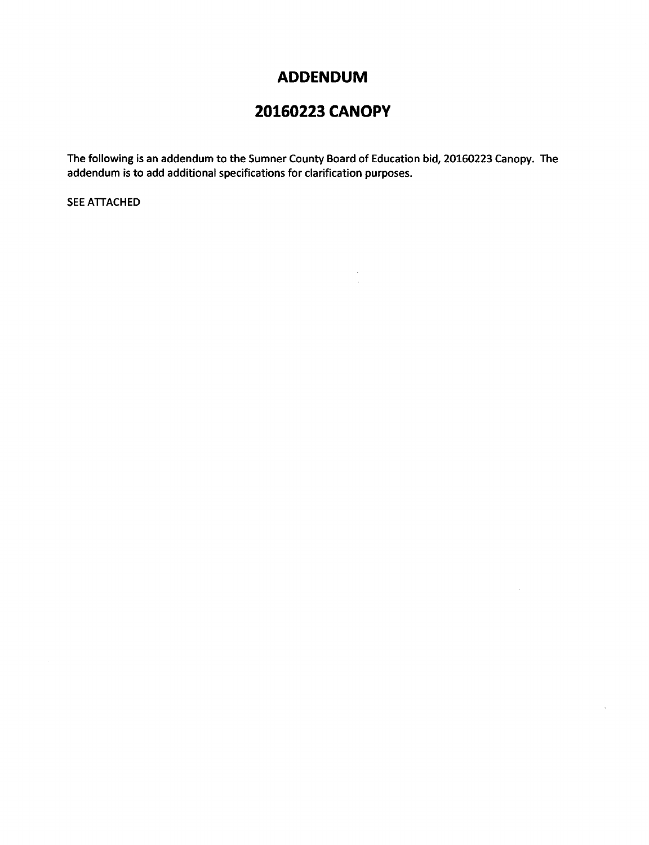## **ADDENDUM**

## **20160223 CANOPY**

The following is an addendum to the Sumner County Board of Education bid, 20160223 Canopy. The addendum is to add additional specifications for clarification purposes.

 $\bar{z}$ 

SEE ATTACHED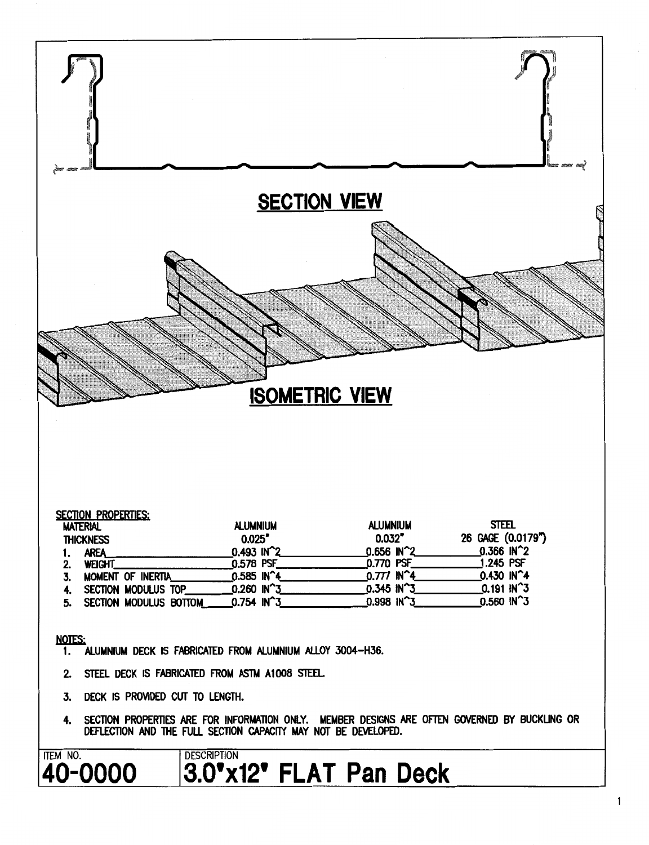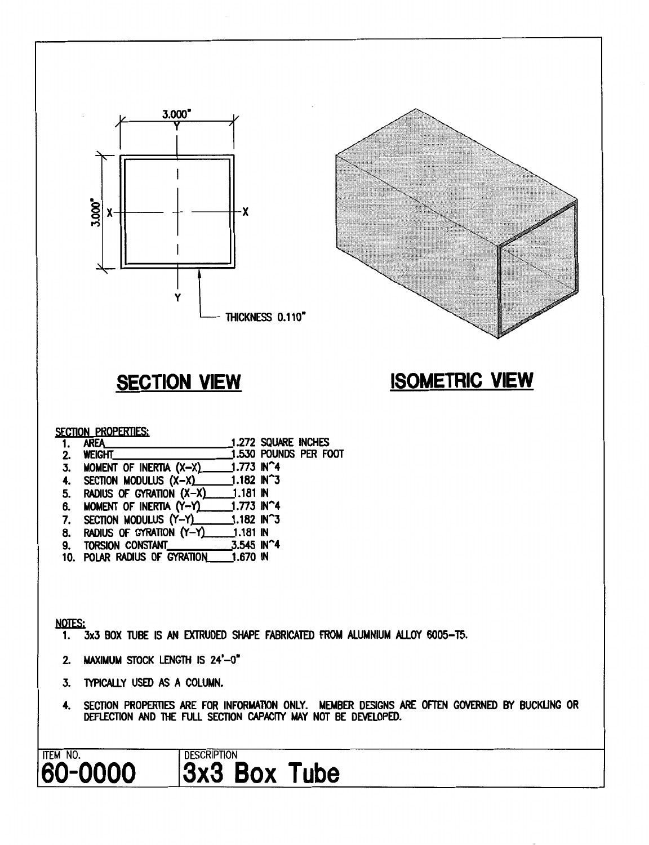

- 6. MOMENT OF INERTIA (Y-Y) 1.773 IN^4
- 7. SECTION MODULUS (Y-Y)  $1.182$  IN $^{\sim}$ 3 8. RADIUS OF GYRATION (Y-Y)
- $1.181$  IN 9. TORSION CONSTANT 3.545 IN^4
- 10. POLAR RADIUS OF GYRATION  $1.670$  IN

### **NOTES:**

- 3x3 BOX TUBE IS AN EXTRUDED SHAPE FABRICATED FROM ALUMNIUM ALLOY 6005-T5.  $1.$
- 2. MAXIMUM STOCK LENGTH IS 24'-0"
- 3. TYPICALLY USED AS A COLUMN.
- $4.$ SECTION PROPERTIES ARE FOR INFORMATION ONLY. MEMBER DESIGNS ARE OFTEN GOVERNED BY BUCKLING OR DEFLECTION AND THE FULL SECTION CAPACITY MAY NOT BE DEVELOPED.

#### ITEM NO. **DESCRIPTION** 60-0000 3x3 Box Tube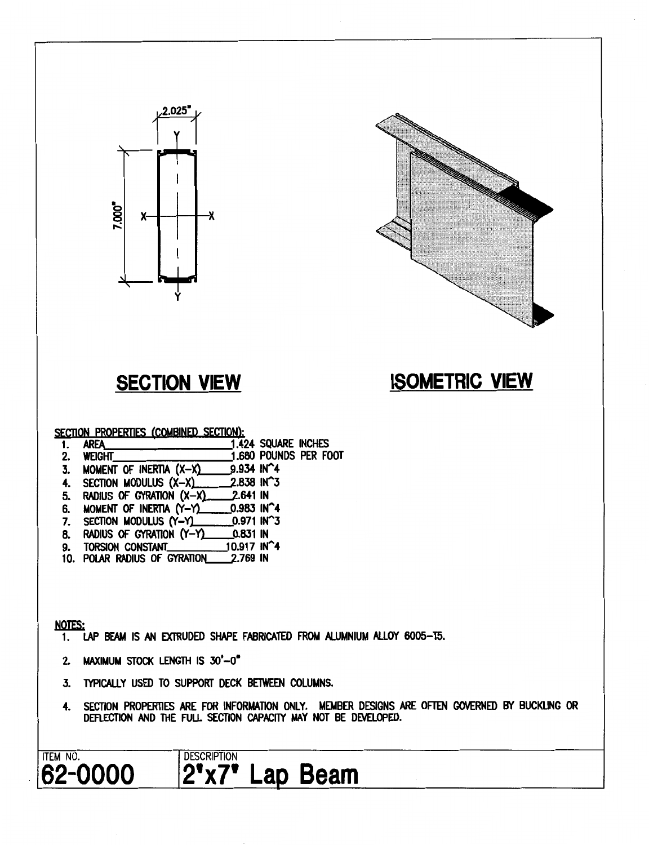



# **SECTION VIEW**

# **ISOMETRIC VIEW**

SECTION PROPERTIES (COMBINED SECTION):

|    | <b>AREA</b> | <b>1.424 SQUARE INCHES</b> |  |
|----|-------------|----------------------------|--|
| 2. | WEIGHT      | 1.680 POUNDS PER FOOT      |  |

- 9.934 IN^4 3. MOMENT OF INERTIA (X-X)
- 4. SECTION MODULUS (X-X) 2.838 IN^3
- 2.641 IN 5. RADIUS OF GYRATION (X-X)
- 6. MOMENT OF INERTIA (Y-Y)  $0.983$  IN 4
- $0.971$  IN $^{\circ}$ 3 7. SECTION MODULUS (Y-Y)
- 8. RADIUS OF GYRATION (Y-Y) 0.831 IN
- 10.917 IN<sup>4</sup> 9. TORSION CONSTANT
- 10. POLAR RADIUS OF GYRATION 2.769 IN

## **NOTES:**

- LAP BEAM IS AN EXTRUDED SHAPE FABRICATED FROM ALUMNIUM ALLOY 6005-T5.  $1.$
- 2. MAXIMUM STOCK LENGTH IS 30'-0"
- TYPICALLY USED TO SUPPORT DECK BETWEEN COLUMNS. 3.
- SECTION PROPERTIES ARE FOR INFORMATION ONLY. MEMBER DESIGNS ARE OFTEN GOVERNED BY BUCKLING OR 4. DEFLECTION AND THE FULL SECTION CAPACITY MAY NOT BE DEVELOPED.

## **ITEM NO.** 62-0000

## **DESCRIPTION** 2'x7' Lap Beam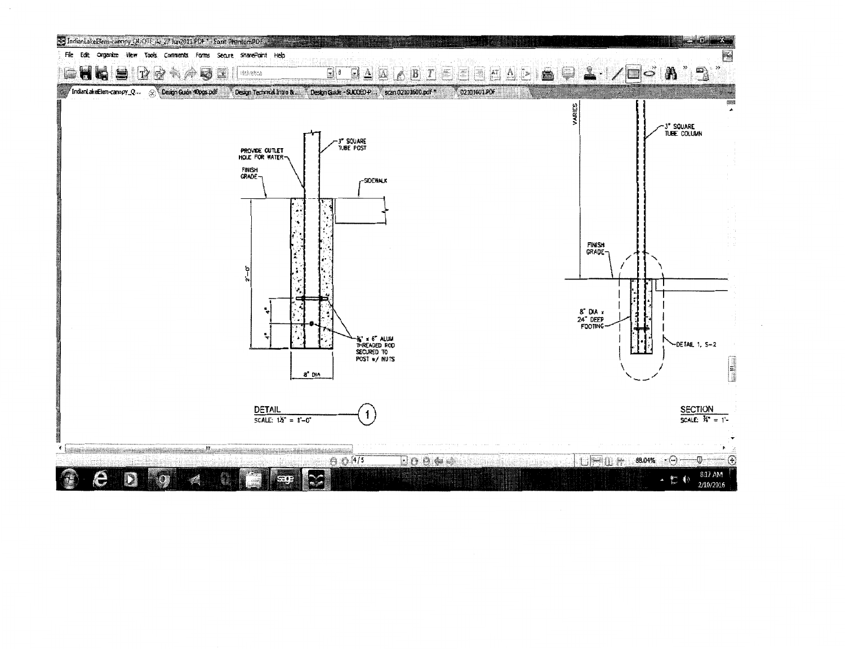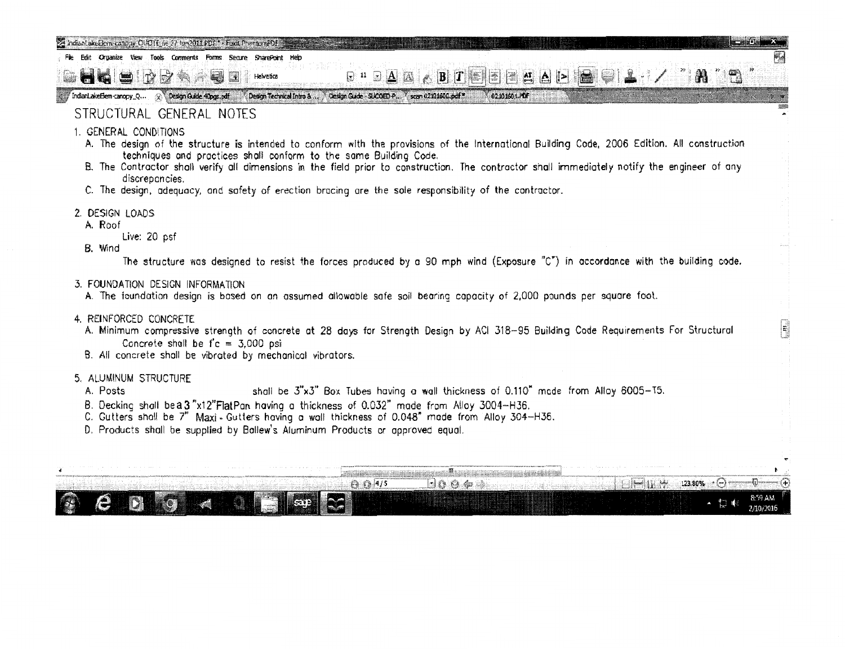- Fie Edit Organize View Tools Comments Forms Secure SharePoint
- إشبا **Helvetica**  $T\mathbb{Z}$  $\mathbb{Z}^{\prime}$ u. **MG**

indant akeElem-canopy\_Q... (2) Design Guide 40pg.pdf Design Technical Initio 8.1. N Design Guide - 51 Comp P. N. scan 02101600.pdf \* 11.1 02101601.PDF

## STRUCTURAL GENERAL NOTES

- 1. GENERAL CONDITIONS
	- A. The design of the structure is intended to conform with the provisions of the International Buildin9 Code, 2006 Edition. All construction techniques and practices shall conform to the same Building Code.

 $\mathbf{B} \mathbf{I} \mathbf{E} = \mathbf{A} \mathbf{I}$ 

W

......

 $\overline{\phantom{a}}$ 

A.

- B. The Contractor shall verify all dimensions in the field prior to construction. The contractor shall immediately notify the engineer of any discrepancies.
- C. The design, adequacy, and safety of erection bracing are the sole responsibility of the contractor.
- 2. DESIGN LOADS
	- A. Roof

Live: 20 psf

B. Wind

The structure was designed to resist the forces produced by a 90 mph wind (Exposure "C") in accordance with the building code.

- 3. FOUNDATION DESIGN INFORMATION
	- A. The foundation design is based on an assumed allowable safe soil bearing capacity of 2,000 pounds per square foot.

 $\Box$  11  $\Box$   $\Box$ 

- 4. REINFORCED CONCRETE
	- A. Minimum compressive strength of concrete at 28 days for Strength Design by ACI 318-95 Building Code Requirements For Structural Concrete shall be  $f'c = 3,000$  psi
	- 8. All concrete shall be vibrated by mechanical vibrators.
- 5. ALUMINUM STRUCTURE
	- A. Posts shall be 3"x3" Box Tubes having a wall thickness of 0.110" mode from Alloy 6005-T5.
	- 8. Decking shall be a 3"x12"FlatPan having a thickness of 0.032" made from Alloy 3004-H36.
	- C. Gutters shall be 7" Maxi. Gutters having o wall thickness of 0.048" mode from Alloy 304-H36.
	- D. Products shall be supplied by Ballew's Aluminum Products or approved equal.

|  |  |  |  |  | the contract of the contract of the contract of the contract of the contract of the contract of the contract of |  | the contract of the contract of |  |  |  |  |  |  |  |  |  | $123.80\%$ . |  | and a series that the control of the construction of the control of the control of the control of the control of |  |
|--|--|--|--|--|-----------------------------------------------------------------------------------------------------------------|--|---------------------------------|--|--|--|--|--|--|--|--|--|--------------|--|------------------------------------------------------------------------------------------------------------------|--|
|  |  |  |  |  |                                                                                                                 |  |                                 |  |  |  |  |  |  |  |  |  |              |  |                                                                                                                  |  |